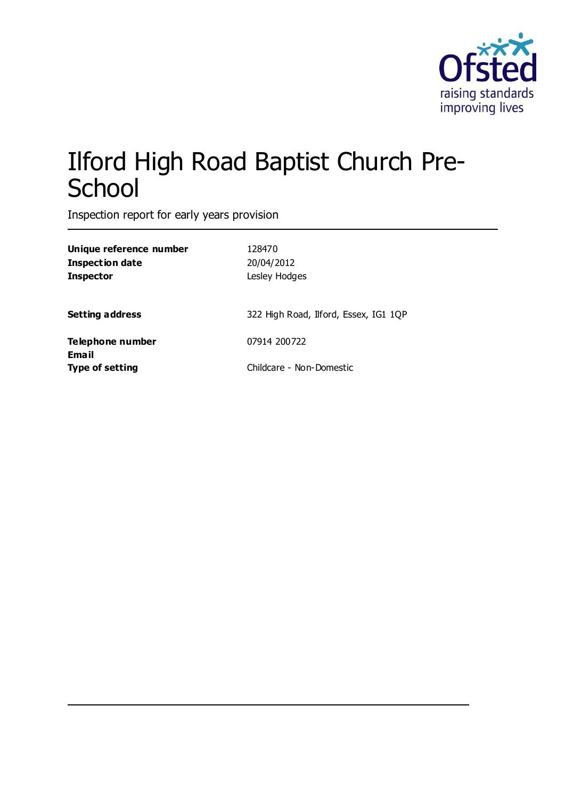

# Ilford High Road Baptist Church Pre-**School**

Inspection report for early years provision

| Unique reference number<br>Inspection date<br>Inspector | 128470<br>20/04/2012<br>Lesley Hodges |
|---------------------------------------------------------|---------------------------------------|
| <b>Setting address</b>                                  | 322 High Road, Ilford, Essex, IG1 1QP |
| Telephone number                                        | 07914 200722                          |
| Email<br>Type of setting                                | Childcare - Non-Domestic              |
|                                                         |                                       |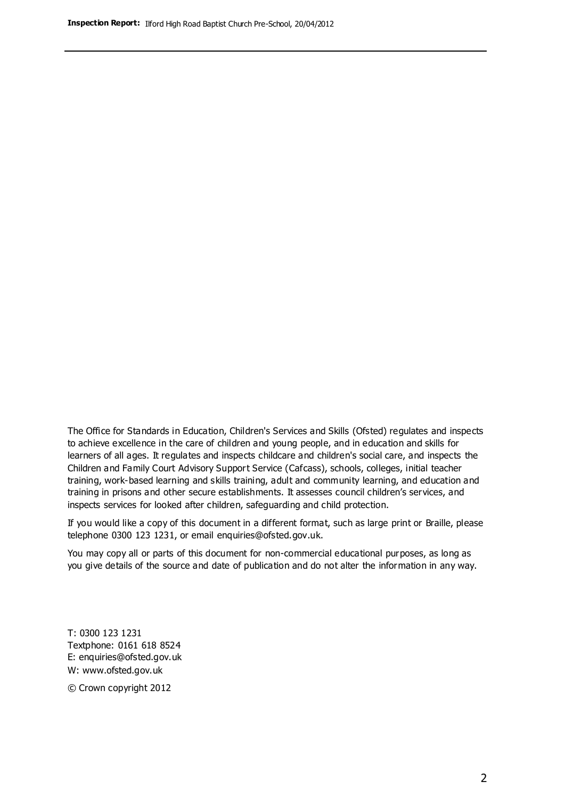The Office for Standards in Education, Children's Services and Skills (Ofsted) regulates and inspects to achieve excellence in the care of children and young people, and in education and skills for learners of all ages. It regulates and inspects childcare and children's social care, and inspects the Children and Family Court Advisory Support Service (Cafcass), schools, colleges, initial teacher training, work-based learning and skills training, adult and community learning, and education and training in prisons and other secure establishments. It assesses council children's services, and inspects services for looked after children, safeguarding and child protection.

If you would like a copy of this document in a different format, such as large print or Braille, please telephone 0300 123 1231, or email enquiries@ofsted.gov.uk.

You may copy all or parts of this document for non-commercial educational purposes, as long as you give details of the source and date of publication and do not alter the information in any way.

T: 0300 123 1231 Textphone: 0161 618 8524 E: enquiries@ofsted.gov.uk W: [www.ofsted.gov.uk](http://www.ofsted.gov.uk/)

© Crown copyright 2012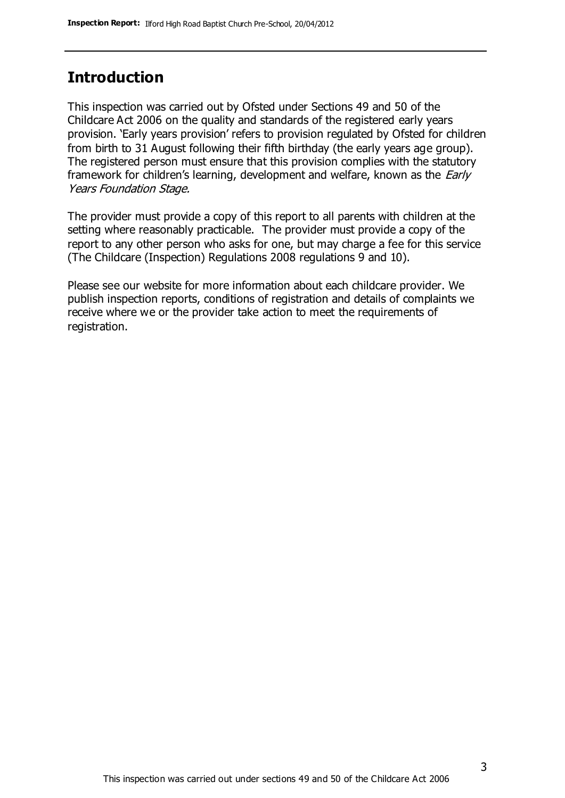#### **Introduction**

This inspection was carried out by Ofsted under Sections 49 and 50 of the Childcare Act 2006 on the quality and standards of the registered early years provision. 'Early years provision' refers to provision regulated by Ofsted for children from birth to 31 August following their fifth birthday (the early years age group). The registered person must ensure that this provision complies with the statutory framework for children's learning, development and welfare, known as the *Early* Years Foundation Stage.

The provider must provide a copy of this report to all parents with children at the setting where reasonably practicable. The provider must provide a copy of the report to any other person who asks for one, but may charge a fee for this service (The Childcare (Inspection) Regulations 2008 regulations 9 and 10).

Please see our website for more information about each childcare provider. We publish inspection reports, conditions of registration and details of complaints we receive where we or the provider take action to meet the requirements of registration.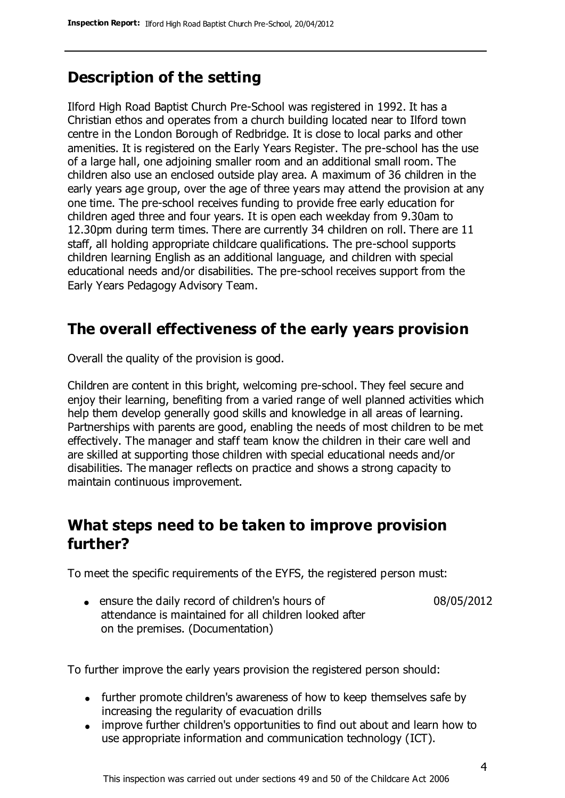# **Description of the setting**

Ilford High Road Baptist Church Pre-School was registered in 1992. It has a Christian ethos and operates from a church building located near to Ilford town centre in the London Borough of Redbridge. It is close to local parks and other amenities. It is registered on the Early Years Register. The pre-school has the use of a large hall, one adjoining smaller room and an additional small room. The children also use an enclosed outside play area. A maximum of 36 children in the early years age group, over the age of three years may attend the provision at any one time. The pre-school receives funding to provide free early education for children aged three and four years. It is open each weekday from 9.30am to 12.30pm during term times. There are currently 34 children on roll. There are 11 staff, all holding appropriate childcare qualifications. The pre-school supports children learning English as an additional language, and children with special educational needs and/or disabilities. The pre-school receives support from the Early Years Pedagogy Advisory Team.

# **The overall effectiveness of the early years provision**

Overall the quality of the provision is good.

Children are content in this bright, welcoming pre-school. They feel secure and enjoy their learning, benefiting from a varied range of well planned activities which help them develop generally good skills and knowledge in all areas of learning. Partnerships with parents are good, enabling the needs of most children to be met effectively. The manager and staff team know the children in their care well and are skilled at supporting those children with special educational needs and/or disabilities. The manager reflects on practice and shows a strong capacity to maintain continuous improvement.

#### **What steps need to be taken to improve provision further?**

To meet the specific requirements of the EYFS, the registered person must:

ensure the daily record of children's hours of attendance is maintained for all children looked after on the premises. (Documentation) 08/05/2012

To further improve the early years provision the registered person should:

- further promote children's awareness of how to keep themselves safe by increasing the regularity of evacuation drills
- improve further children's opportunities to find out about and learn how to use appropriate information and communication technology (ICT).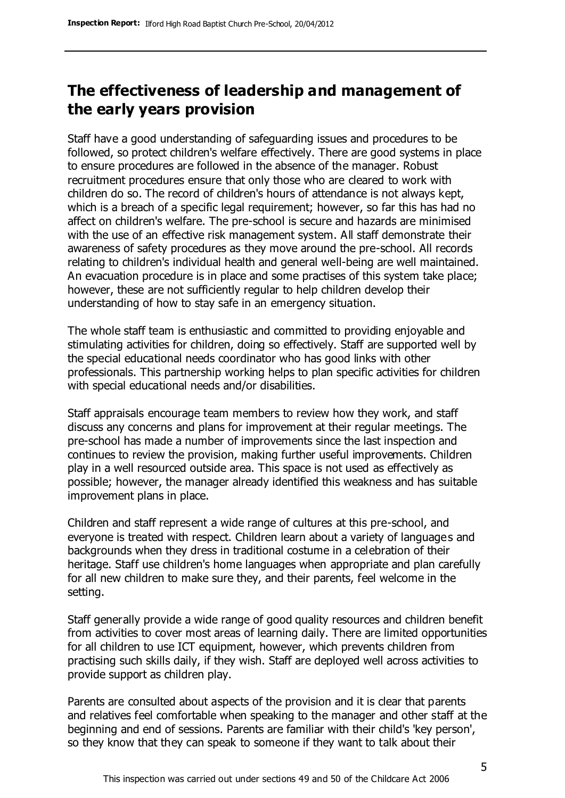## **The effectiveness of leadership and management of the early years provision**

Staff have a good understanding of safeguarding issues and procedures to be followed, so protect children's welfare effectively. There are good systems in place to ensure procedures are followed in the absence of the manager. Robust recruitment procedures ensure that only those who are cleared to work with children do so. The record of children's hours of attendance is not always kept, which is a breach of a specific legal requirement; however, so far this has had no affect on children's welfare. The pre-school is secure and hazards are minimised with the use of an effective risk management system. All staff demonstrate their awareness of safety procedures as they move around the pre-school. All records relating to children's individual health and general well-being are well maintained. An evacuation procedure is in place and some practises of this system take place; however, these are not sufficiently regular to help children develop their understanding of how to stay safe in an emergency situation.

The whole staff team is enthusiastic and committed to providing enjoyable and stimulating activities for children, doing so effectively. Staff are supported well by the special educational needs coordinator who has good links with other professionals. This partnership working helps to plan specific activities for children with special educational needs and/or disabilities.

Staff appraisals encourage team members to review how they work, and staff discuss any concerns and plans for improvement at their regular meetings. The pre-school has made a number of improvements since the last inspection and continues to review the provision, making further useful improvements. Children play in a well resourced outside area. This space is not used as effectively as possible; however, the manager already identified this weakness and has suitable improvement plans in place.

Children and staff represent a wide range of cultures at this pre-school, and everyone is treated with respect. Children learn about a variety of languages and backgrounds when they dress in traditional costume in a celebration of their heritage. Staff use children's home languages when appropriate and plan carefully for all new children to make sure they, and their parents, feel welcome in the setting.

Staff generally provide a wide range of good quality resources and children benefit from activities to cover most areas of learning daily. There are limited opportunities for all children to use ICT equipment, however, which prevents children from practising such skills daily, if they wish. Staff are deployed well across activities to provide support as children play.

Parents are consulted about aspects of the provision and it is clear that parents and relatives feel comfortable when speaking to the manager and other staff at the beginning and end of sessions. Parents are familiar with their child's 'key person', so they know that they can speak to someone if they want to talk about their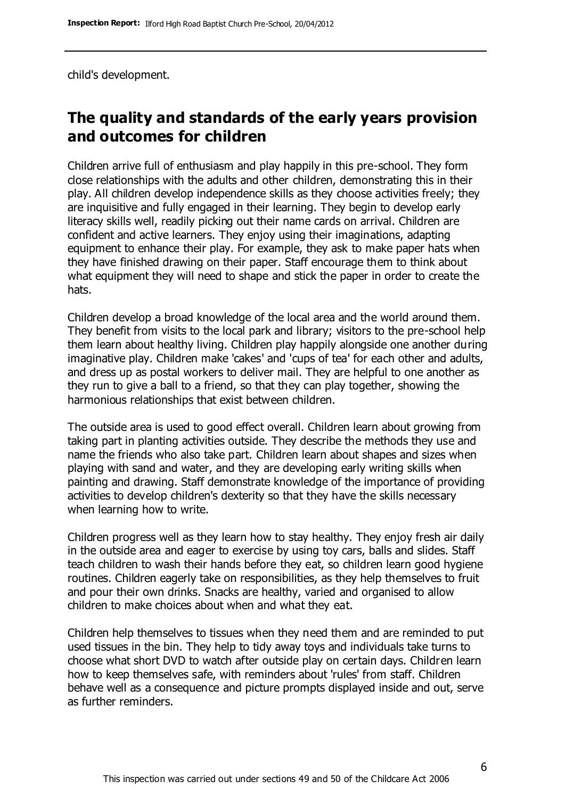child's development.

### **The quality and standards of the early years provision and outcomes for children**

Children arrive full of enthusiasm and play happily in this pre-school. They form close relationships with the adults and other children, demonstrating this in their play. All children develop independence skills as they choose activities freely; they are inquisitive and fully engaged in their learning. They begin to develop early literacy skills well, readily picking out their name cards on arrival. Children are confident and active learners. They enjoy using their imaginations, adapting equipment to enhance their play. For example, they ask to make paper hats when they have finished drawing on their paper. Staff encourage them to think about what equipment they will need to shape and stick the paper in order to create the hats.

Children develop a broad knowledge of the local area and the world around them. They benefit from visits to the local park and library; visitors to the pre-school help them learn about healthy living. Children play happily alongside one another during imaginative play. Children make 'cakes' and 'cups of tea' for each other and adults, and dress up as postal workers to deliver mail. They are helpful to one another as they run to give a ball to a friend, so that they can play together, showing the harmonious relationships that exist between children.

The outside area is used to good effect overall. Children learn about growing from taking part in planting activities outside. They describe the methods they use and name the friends who also take part. Children learn about shapes and sizes when playing with sand and water, and they are developing early writing skills when painting and drawing. Staff demonstrate knowledge of the importance of providing activities to develop children's dexterity so that they have the skills necessary when learning how to write.

Children progress well as they learn how to stay healthy. They enjoy fresh air daily in the outside area and eager to exercise by using toy cars, balls and slides. Staff teach children to wash their hands before they eat, so children learn good hygiene routines. Children eagerly take on responsibilities, as they help themselves to fruit and pour their own drinks. Snacks are healthy, varied and organised to allow children to make choices about when and what they eat.

Children help themselves to tissues when they need them and are reminded to put used tissues in the bin. They help to tidy away toys and individuals take turns to choose what short DVD to watch after outside play on certain days. Children learn how to keep themselves safe, with reminders about 'rules' from staff. Children behave well as a consequence and picture prompts displayed inside and out, serve as further reminders.